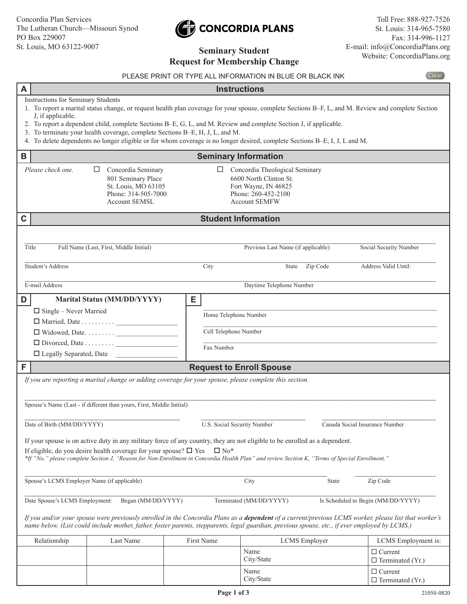# CONCORDIA PLANS

|                |                                                                |                                                                                                                                                                                                                                                            | <b>Request for Membership Change</b>                              |                                                                                                                                                                                                                                                                                                                                                                                                         |                                |                                                |              |  |
|----------------|----------------------------------------------------------------|------------------------------------------------------------------------------------------------------------------------------------------------------------------------------------------------------------------------------------------------------------|-------------------------------------------------------------------|---------------------------------------------------------------------------------------------------------------------------------------------------------------------------------------------------------------------------------------------------------------------------------------------------------------------------------------------------------------------------------------------------------|--------------------------------|------------------------------------------------|--------------|--|
|                |                                                                |                                                                                                                                                                                                                                                            |                                                                   | PLEASE PRINT OR TYPE ALL INFORMATION IN BLUE OR BLACK INK                                                                                                                                                                                                                                                                                                                                               |                                |                                                | <b>Clear</b> |  |
| A              |                                                                |                                                                                                                                                                                                                                                            |                                                                   | <b>Instructions</b>                                                                                                                                                                                                                                                                                                                                                                                     |                                |                                                |              |  |
|                | <b>Instructions for Seminary Students</b><br>J, if applicable. | 3. To terminate your health coverage, complete Sections B-E, H, J, L, and M.                                                                                                                                                                               |                                                                   | 1. To report a marital status change, or request health plan coverage for your spouse, complete Sections B-F, L, and M. Review and complete Section<br>2. To report a dependent child, complete Sections B-E, G, L, and M. Review and complete Section J, if applicable.<br>4. To delete dependents no longer eligible or for whom coverage is no longer desired, complete Sections B-E, I, J, L and M. |                                |                                                |              |  |
| В              |                                                                |                                                                                                                                                                                                                                                            |                                                                   | <b>Seminary Information</b>                                                                                                                                                                                                                                                                                                                                                                             |                                |                                                |              |  |
|                | Please check one.                                              | Concordia Seminary<br>⊔<br>801 Seminary Place<br>St. Louis, MO 63105<br>Phone: 314-505-7000<br><b>Account SEMSL</b>                                                                                                                                        | ப                                                                 | Concordia Theological Seminary<br>6600 North Clinton St.<br>Fort Wayne, IN 46825<br>Phone: 260-452-2100<br><b>Account SEMFW</b>                                                                                                                                                                                                                                                                         |                                |                                                |              |  |
| C              |                                                                |                                                                                                                                                                                                                                                            |                                                                   | <b>Student Information</b>                                                                                                                                                                                                                                                                                                                                                                              |                                |                                                |              |  |
| Title          | Student's Address                                              | Full Name (Last, First, Middle Initial)                                                                                                                                                                                                                    | City                                                              | Previous Last Name (if applicable)<br>State                                                                                                                                                                                                                                                                                                                                                             | Zip Code                       | Social Security Number<br>Address Valid Until: |              |  |
| E-mail Address |                                                                |                                                                                                                                                                                                                                                            |                                                                   | Daytime Telephone Number                                                                                                                                                                                                                                                                                                                                                                                |                                |                                                |              |  |
| D              | $\Box$ Single – Never Married<br>□ Legally Separated, Date     | <b>Marital Status (MM/DD/YYYY)</b>                                                                                                                                                                                                                         | Е<br>Home Telephone Number<br>Cell Telephone Number<br>Fax Number |                                                                                                                                                                                                                                                                                                                                                                                                         |                                |                                                |              |  |
| F              | <b>Request to Enroll Spouse</b>                                |                                                                                                                                                                                                                                                            |                                                                   |                                                                                                                                                                                                                                                                                                                                                                                                         |                                |                                                |              |  |
|                | Date of Birth (MM/DD/YYYY)                                     | If you are reporting a marital change or adding coverage for your spouse, please complete this section.<br>Spouse's Name (Last - if different than yours, First, Middle Initial)<br>If eligible, do you desire health coverage for your spouse? $\Box$ Yes | U.S. Social Security Number<br>$\Box$ No*                         | If your spouse is on active duty in any military force of any country, they are not eligible to be enrolled as a dependent.<br>*If "No," please complete Section J, "Reason for Non-Enrollment in Concordia Health Plan" and review Section K, "Terms of Special Enrollment."                                                                                                                           | Canada Social Insurance Number |                                                |              |  |
|                | Spouse's LCMS Employer Name (if applicable)                    |                                                                                                                                                                                                                                                            |                                                                   | City                                                                                                                                                                                                                                                                                                                                                                                                    | State                          | Zip Code                                       |              |  |
|                | Date Spouse's LCMS Employment:                                 | Began (MM/DD/YYYY)                                                                                                                                                                                                                                         |                                                                   | Terminated (MM/DD/YYYY)                                                                                                                                                                                                                                                                                                                                                                                 |                                | Is Scheduled to Begin (MM/DD/YYYY)             |              |  |
|                |                                                                |                                                                                                                                                                                                                                                            |                                                                   | If you and/or your spouse were previously enrolled in the Concordia Plans as a dependent of a current/previous LCMS worker, please list that worker's<br>name below. (List could include mother, father, foster parents, stepparents, legal guardian, previous spouse, etc., if ever employed by LCMS.)                                                                                                 |                                |                                                |              |  |
|                | Relationship                                                   | Last Name                                                                                                                                                                                                                                                  | First Name                                                        | LCMS Employer                                                                                                                                                                                                                                                                                                                                                                                           |                                | LCMS Employment is:                            |              |  |
|                |                                                                |                                                                                                                                                                                                                                                            |                                                                   | Name<br>City/State                                                                                                                                                                                                                                                                                                                                                                                      |                                | $\Box$ Current<br>$\Box$ Terminated (Yr.)      |              |  |

Name City/State □ Current  $\Box$  Terminated (Yr.)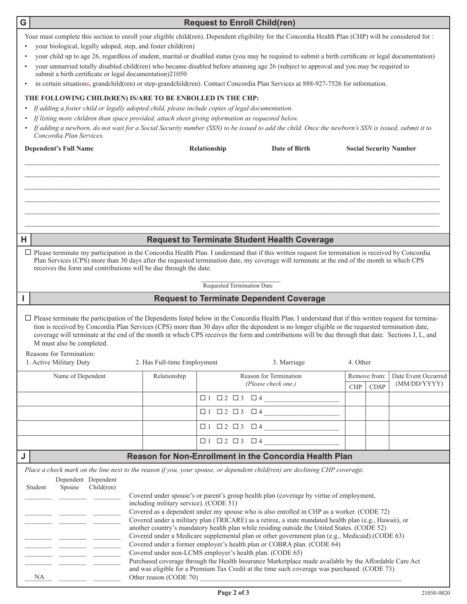| G                                                                                                                                                                        |                                                                                                                                                                                                                                                                                                                                                                                                                                                                                                                                  |                                        | <b>Request to Enroll Child(ren)</b> |                                                                                                                      |                               |             |                     |  |  |  |  |
|--------------------------------------------------------------------------------------------------------------------------------------------------------------------------|----------------------------------------------------------------------------------------------------------------------------------------------------------------------------------------------------------------------------------------------------------------------------------------------------------------------------------------------------------------------------------------------------------------------------------------------------------------------------------------------------------------------------------|----------------------------------------|-------------------------------------|----------------------------------------------------------------------------------------------------------------------|-------------------------------|-------------|---------------------|--|--|--|--|
|                                                                                                                                                                          | Your must complete this section to enroll your eligible child(ren). Dependent eligibility for the Concordia Health Plan (CHP) will be considered for :<br>your biological, legally adoped, step, and foster child(ren)                                                                                                                                                                                                                                                                                                           |                                        |                                     |                                                                                                                      |                               |             |                     |  |  |  |  |
|                                                                                                                                                                          | your child up to age 26, regardless of student, marital or disabled status (you may be required to submit a birth certificate or legal documentation)                                                                                                                                                                                                                                                                                                                                                                            |                                        |                                     |                                                                                                                      |                               |             |                     |  |  |  |  |
|                                                                                                                                                                          | your unmarried totally disabled child(ren) who became disabled before attaining age 26 (subject to approval and you may be required to<br>submit a birth certificate or legal documentation)21050                                                                                                                                                                                                                                                                                                                                |                                        |                                     |                                                                                                                      |                               |             |                     |  |  |  |  |
|                                                                                                                                                                          | in certain situations, grandchild(ren) or step-grandchild(ren). Contact Concordia Plan Services at 888-927-7526 for information.                                                                                                                                                                                                                                                                                                                                                                                                 |                                        |                                     |                                                                                                                      |                               |             |                     |  |  |  |  |
|                                                                                                                                                                          | THE FOLLOWING CHILD(REN) IS/ARE TO BE ENROLLED IN THE CHP:                                                                                                                                                                                                                                                                                                                                                                                                                                                                       |                                        |                                     |                                                                                                                      |                               |             |                     |  |  |  |  |
|                                                                                                                                                                          | If adding a foster child or legally adopted child, please include copies of legal documentation.                                                                                                                                                                                                                                                                                                                                                                                                                                 |                                        |                                     |                                                                                                                      |                               |             |                     |  |  |  |  |
|                                                                                                                                                                          | If listing more children than space provided, attach sheet giving information as requested below.                                                                                                                                                                                                                                                                                                                                                                                                                                |                                        |                                     |                                                                                                                      |                               |             |                     |  |  |  |  |
|                                                                                                                                                                          | If adding a newborn, do not wait for a Social Security number (SSN) to be issued to add the child. Once the newborn's SSN is issued, submit it to<br>Concordia Plan Services.                                                                                                                                                                                                                                                                                                                                                    |                                        |                                     |                                                                                                                      |                               |             |                     |  |  |  |  |
|                                                                                                                                                                          | <b>Dependent's Full Name</b>                                                                                                                                                                                                                                                                                                                                                                                                                                                                                                     |                                        | Relationship                        | Date of Birth                                                                                                        | <b>Social Security Number</b> |             |                     |  |  |  |  |
|                                                                                                                                                                          |                                                                                                                                                                                                                                                                                                                                                                                                                                                                                                                                  |                                        |                                     |                                                                                                                      |                               |             |                     |  |  |  |  |
|                                                                                                                                                                          |                                                                                                                                                                                                                                                                                                                                                                                                                                                                                                                                  |                                        |                                     |                                                                                                                      |                               |             |                     |  |  |  |  |
| н                                                                                                                                                                        |                                                                                                                                                                                                                                                                                                                                                                                                                                                                                                                                  |                                        |                                     | <b>Request to Terminate Student Health Coverage</b>                                                                  |                               |             |                     |  |  |  |  |
|                                                                                                                                                                          | $\Box$ Please terminate my participation in the Concordia Health Plan. I understand that if this written request for termination is received by Concordia<br>Plan Services (CPS) more than 30 days after the requested termination date, my coverage will terminate at the end of the month in which CPS<br>receives the form and contributions will be due through the date.                                                                                                                                                    |                                        |                                     |                                                                                                                      |                               |             |                     |  |  |  |  |
|                                                                                                                                                                          |                                                                                                                                                                                                                                                                                                                                                                                                                                                                                                                                  |                                        |                                     |                                                                                                                      |                               |             |                     |  |  |  |  |
|                                                                                                                                                                          |                                                                                                                                                                                                                                                                                                                                                                                                                                                                                                                                  |                                        | Requested Termination Date          |                                                                                                                      |                               |             |                     |  |  |  |  |
|                                                                                                                                                                          |                                                                                                                                                                                                                                                                                                                                                                                                                                                                                                                                  |                                        |                                     | <b>Request to Terminate Dependent Coverage</b>                                                                       |                               |             |                     |  |  |  |  |
|                                                                                                                                                                          | $\Box$ Please terminate the participation of the Dependents listed below in the Concordia Health Plan. I understand that if this written request for termina-<br>tion is received by Concordia Plan Services (CPS) more than 30 days after the dependent is no longer eligible or the requested termination date,<br>coverage will terminate at the end of the month in which CPS receives the form and contributions will be due through that date. Sections J, L, and<br>M must also be completed.<br>Reasons for Termination: |                                        |                                     |                                                                                                                      |                               |             |                     |  |  |  |  |
| 1. Active Military Duty<br>2. Has Full-time Employment<br>3. Marriage<br>4. Other                                                                                        |                                                                                                                                                                                                                                                                                                                                                                                                                                                                                                                                  |                                        |                                     |                                                                                                                      |                               |             |                     |  |  |  |  |
|                                                                                                                                                                          | Name of Dependent                                                                                                                                                                                                                                                                                                                                                                                                                                                                                                                | Relationship                           |                                     | Reason for Termination                                                                                               | Remove from:                  |             | Date Event Occurred |  |  |  |  |
|                                                                                                                                                                          |                                                                                                                                                                                                                                                                                                                                                                                                                                                                                                                                  |                                        |                                     | (Please check one.)                                                                                                  | ${\rm CHP}$                   | <b>CDSP</b> | (MM/DD/YYYY)        |  |  |  |  |
|                                                                                                                                                                          |                                                                                                                                                                                                                                                                                                                                                                                                                                                                                                                                  |                                        |                                     |                                                                                                                      |                               |             |                     |  |  |  |  |
|                                                                                                                                                                          |                                                                                                                                                                                                                                                                                                                                                                                                                                                                                                                                  |                                        |                                     |                                                                                                                      |                               |             |                     |  |  |  |  |
|                                                                                                                                                                          |                                                                                                                                                                                                                                                                                                                                                                                                                                                                                                                                  |                                        |                                     |                                                                                                                      |                               |             |                     |  |  |  |  |
|                                                                                                                                                                          |                                                                                                                                                                                                                                                                                                                                                                                                                                                                                                                                  |                                        |                                     | $\Box 1 \quad \Box 2 \quad \Box 3 \quad \Box 4 \_\_\_\_\_\_\_\_\_\_\_\_\_\_\_\_\_\_\_\_\_\_\_\_\_\_\_\_\_\_\_\_\_\_$ |                               |             |                     |  |  |  |  |
| J                                                                                                                                                                        |                                                                                                                                                                                                                                                                                                                                                                                                                                                                                                                                  |                                        |                                     | Reason for Non-Enrollment in the Concordia Health Plan                                                               |                               |             |                     |  |  |  |  |
|                                                                                                                                                                          | Place a check mark on the line next to the reason if you, your spouse, or dependent child(ren) are declining CHP coverage.                                                                                                                                                                                                                                                                                                                                                                                                       |                                        |                                     |                                                                                                                      |                               |             |                     |  |  |  |  |
|                                                                                                                                                                          | Dependent Dependent<br>Spouse<br>Child(ren)<br>Student                                                                                                                                                                                                                                                                                                                                                                                                                                                                           |                                        |                                     |                                                                                                                      |                               |             |                     |  |  |  |  |
|                                                                                                                                                                          |                                                                                                                                                                                                                                                                                                                                                                                                                                                                                                                                  | including military service). (CODE 51) |                                     | Covered under spouse's or parent's group health plan (coverage by virtue of employment,                              |                               |             |                     |  |  |  |  |
|                                                                                                                                                                          | Covered as a dependent under my spouse who is also enrolled in CHP as a worker. (CODE 72)<br>Covered under a military plan (TRICARE) as a retiree, a state mandated health plan (e.g., Hawaii), or<br>another country's mandatory health plan while residing outside the United States. (CODE 52)                                                                                                                                                                                                                                |                                        |                                     |                                                                                                                      |                               |             |                     |  |  |  |  |
|                                                                                                                                                                          |                                                                                                                                                                                                                                                                                                                                                                                                                                                                                                                                  |                                        |                                     |                                                                                                                      |                               |             |                     |  |  |  |  |
| Covered under a Medicare supplemental plan or other government plan (e.g., Medicaid).(CODE 63)<br>Covered under a former employer's health plan or COBRA plan. (CODE 64) |                                                                                                                                                                                                                                                                                                                                                                                                                                                                                                                                  |                                        |                                     |                                                                                                                      |                               |             |                     |  |  |  |  |
|                                                                                                                                                                          | Covered under non-LCMS employer's health plan. (CODE 65)                                                                                                                                                                                                                                                                                                                                                                                                                                                                         |                                        |                                     |                                                                                                                      |                               |             |                     |  |  |  |  |
|                                                                                                                                                                          |                                                                                                                                                                                                                                                                                                                                                                                                                                                                                                                                  |                                        |                                     | Purchased coverage through the Health Insurance Marketplace made available by the Affordable Care Act                |                               |             |                     |  |  |  |  |
|                                                                                                                                                                          | NA                                                                                                                                                                                                                                                                                                                                                                                                                                                                                                                               | Other reason (CODE 70)                 |                                     | and was eligible for a Premium Tax Credit at the time such coverage was purchased. (CODE 73)                         |                               |             |                     |  |  |  |  |